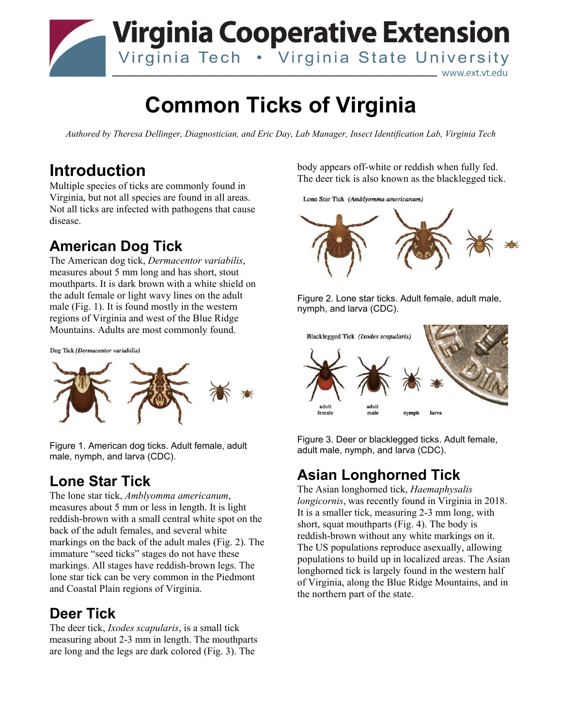

\_ www.ext.vt.edu

# **Common Ticks of Virginia**

*Authored by Theresa Dellinger, Diagnostician, and Eric Day, Lab Manager, Insect Identification Lab, Virginia Tech*

### **Introduction**

Multiple species of ticks are commonly found in Virginia, but not all species are found in all areas. Not all ticks are infected with pathogens that cause disease.

#### **American Dog Tick**

The American dog tick, *Dermacentor variabilis*, measures about 5 mm long and has short, stout mouthparts. It is dark brown with a white shield on the adult female or light wavy lines on the adult male (Fig. 1). It is found mostly in the western regions of Virginia and west of the Blue Ridge Mountains. Adults are most commonly found.

Dog Tick (Dermacentor variabilis)



Figure 1. American dog ticks. Adult female, adult male, nymph, and larva (CDC).

#### **Lone Star Tick**

The lone star tick, *Amblyomma americanum*, measures about 5 mm or less in length. It is light reddish-brown with a small central white spot on the back of the adult females, and several white markings on the back of the adult males (Fig. 2). The immature "seed ticks" stages do not have these markings. All stages have reddish-brown legs. The lone star tick can be very common in the Piedmont and Coastal Plain regions of Virginia.

#### **Deer Tick**

The deer tick, *Ixodes scapularis*, is a small tick measuring about 2-3 mm in length. The mouthparts are long and the legs are dark colored (Fig. 3). The

body appears off-white or reddish when fully fed. The deer tick is also known as the blacklegged tick.

Lone Star Tick (Amblyomma americanum)



Figure 2. Lone star ticks. Adult female, adult male, nymph, and larva (CDC).



Figure 3. Deer or blacklegged ticks. Adult female, adult male, nymph, and larva (CDC).

## **Asian Longhorned Tick**

The Asian longhorned tick, *Haemaphysalis longicornis*, was recently found in Virginia in 2018. It is a smaller tick, measuring 2-3 mm long, with short, squat mouthparts (Fig. 4). The body is reddish-brown without any white markings on it. The US populations reproduce asexually, allowing populations to build up in localized areas. The Asian longhorned tick is largely found in the western half of Virginia, along the Blue Ridge Mountains, and in the northern part of the state.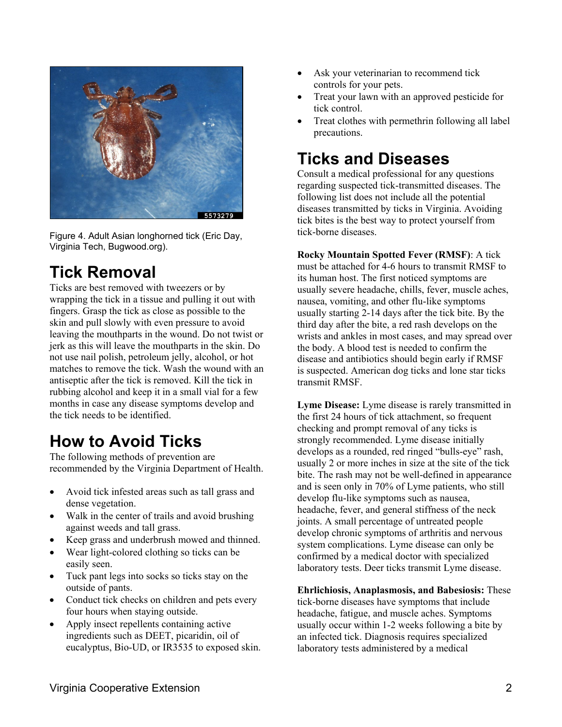

Figure 4. Adult Asian longhorned tick (Eric Day, Virginia Tech, Bugwood.org).

# **Tick Removal**

Ticks are best removed with tweezers or by wrapping the tick in a tissue and pulling it out with fingers. Grasp the tick as close as possible to the skin and pull slowly with even pressure to avoid leaving the mouthparts in the wound. Do not twist or jerk as this will leave the mouthparts in the skin. Do not use nail polish, petroleum jelly, alcohol, or hot matches to remove the tick. Wash the wound with an antiseptic after the tick is removed. Kill the tick in rubbing alcohol and keep it in a small vial for a few months in case any disease symptoms develop and the tick needs to be identified.

# **How to Avoid Ticks**

The following methods of prevention are recommended by the Virginia Department of Health.

- Avoid tick infested areas such as tall grass and dense vegetation.
- Walk in the center of trails and avoid brushing against weeds and tall grass.
- Keep grass and underbrush mowed and thinned.
- Wear light-colored clothing so ticks can be easily seen.
- Tuck pant legs into socks so ticks stay on the outside of pants.
- Conduct tick checks on children and pets every four hours when staying outside.
- Apply insect repellents containing active ingredients such as DEET, picaridin, oil of eucalyptus, Bio-UD, or IR3535 to exposed skin.
- Ask your veterinarian to recommend tick controls for your pets.
- Treat your lawn with an approved pesticide for tick control.
- Treat clothes with permethrin following all label precautions.

# **Ticks and Diseases**

Consult a medical professional for any questions regarding suspected tick-transmitted diseases. The following list does not include all the potential diseases transmitted by ticks in Virginia. Avoiding tick bites is the best way to protect yourself from tick-borne diseases.

**Rocky Mountain Spotted Fever (RMSF)**: A tick must be attached for 4-6 hours to transmit RMSF to its human host. The first noticed symptoms are usually severe headache, chills, fever, muscle aches, nausea, vomiting, and other flu-like symptoms usually starting 2-14 days after the tick bite. By the third day after the bite, a red rash develops on the wrists and ankles in most cases, and may spread over the body. A blood test is needed to confirm the disease and antibiotics should begin early if RMSF is suspected. American dog ticks and lone star ticks transmit RMSF.

**Lyme Disease:** Lyme disease is rarely transmitted in the first 24 hours of tick attachment, so frequent checking and prompt removal of any ticks is strongly recommended. Lyme disease initially develops as a rounded, red ringed "bulls-eye" rash, usually 2 or more inches in size at the site of the tick bite. The rash may not be well-defined in appearance and is seen only in 70% of Lyme patients, who still develop flu-like symptoms such as nausea, headache, fever, and general stiffness of the neck joints. A small percentage of untreated people develop chronic symptoms of arthritis and nervous system complications. Lyme disease can only be confirmed by a medical doctor with specialized laboratory tests. Deer ticks transmit Lyme disease.

**Ehrlichiosis, Anaplasmosis, and Babesiosis:** These tick-borne diseases have symptoms that include headache, fatigue, and muscle aches. Symptoms usually occur within 1-2 weeks following a bite by an infected tick. Diagnosis requires specialized laboratory tests administered by a medical